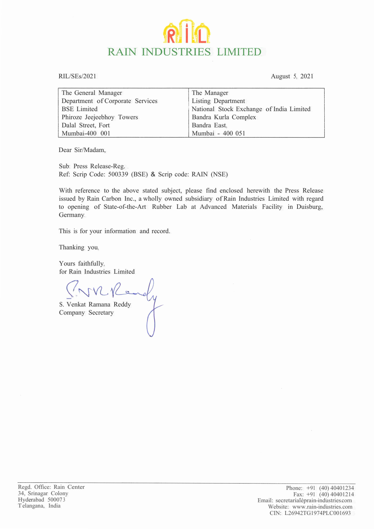## **RAIN INDUSTRIES LIMITED**

RIL/SEs/2021 August 5, 2021

| The General Manager              | The Manager                              |
|----------------------------------|------------------------------------------|
| Department of Corporate Services | Listing Department                       |
| <b>BSE</b> Limited               | National Stock Exchange of India Limited |
| Phiroze Jeejeebhoy Towers        | Bandra Kurla Complex                     |
| Dalal Street, Fort               | Bandra East,                             |
| Mumbai-400 001                   | Mumbai - 400 051                         |

Dear Sir/Madam,

Sub: Press Release-Reg. Ref: Scrip Code: 500339 (BSE) & Scrip code: RAIN (NSE)

With reference to the above stated subject, please find enclosed herewith the Press Release issued by Rain Carbon Inc., a wholly owned subsidiary of Rain Industries Limited with regard to opening of State-of-the-Art Rubber Lab at Advanced Materials Facility in Duisburg, Germany.

This is for your information and record.

Thanking you,

Yours faithfully, for Rain Industries Limited

 $\sum_{i=1}^n$ S. Venkat Ramana Reddy

S. Venkat Ramana<br>Company Secretary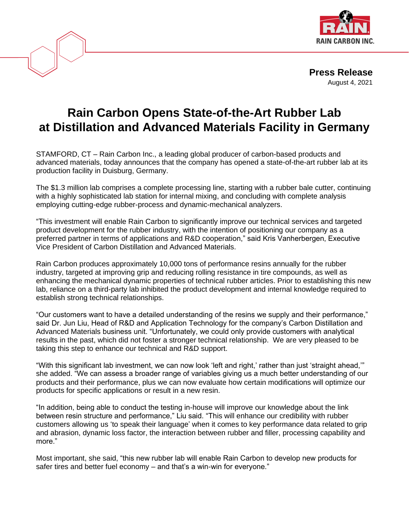

**Press Release** August 4, 2021

## **Rain Carbon Opens State-of-the-Art Rubber Lab at Distillation and Advanced Materials Facility in Germany**

STAMFORD, CT – Rain Carbon Inc., a leading global producer of carbon-based products and advanced materials, today announces that the company has opened a state-of-the-art rubber lab at its production facility in Duisburg, Germany.

The \$1.3 million lab comprises a complete processing line, starting with a rubber bale cutter, continuing with a highly sophisticated lab station for internal mixing, and concluding with complete analysis employing cutting-edge rubber-process and dynamic-mechanical analyzers.

"This investment will enable Rain Carbon to significantly improve our technical services and targeted product development for the rubber industry, with the intention of positioning our company as a preferred partner in terms of applications and R&D cooperation," said Kris Vanherbergen, Executive Vice President of Carbon Distillation and Advanced Materials.

Rain Carbon produces approximately 10,000 tons of performance resins annually for the rubber industry, targeted at improving grip and reducing rolling resistance in tire compounds, as well as enhancing the mechanical dynamic properties of technical rubber articles. Prior to establishing this new lab, reliance on a third-party lab inhibited the product development and internal knowledge required to establish strong technical relationships.

"Our customers want to have a detailed understanding of the resins we supply and their performance," said Dr. Jun Liu, Head of R&D and Application Technology for the company's Carbon Distillation and Advanced Materials business unit. "Unfortunately, we could only provide customers with analytical results in the past, which did not foster a stronger technical relationship. We are very pleased to be taking this step to enhance our technical and R&D support.

"With this significant lab investment, we can now look 'left and right,' rather than just 'straight ahead,'" she added. "We can assess a broader range of variables giving us a much better understanding of our products and their performance, plus we can now evaluate how certain modifications will optimize our products for specific applications or result in a new resin.

"In addition, being able to conduct the testing in-house will improve our knowledge about the link between resin structure and performance," Liu said. "This will enhance our credibility with rubber customers allowing us 'to speak their language' when it comes to key performance data related to grip and abrasion, dynamic loss factor, the interaction between rubber and filler, processing capability and more."

Most important, she said, "this new rubber lab will enable Rain Carbon to develop new products for safer tires and better fuel economy – and that's a win-win for everyone."